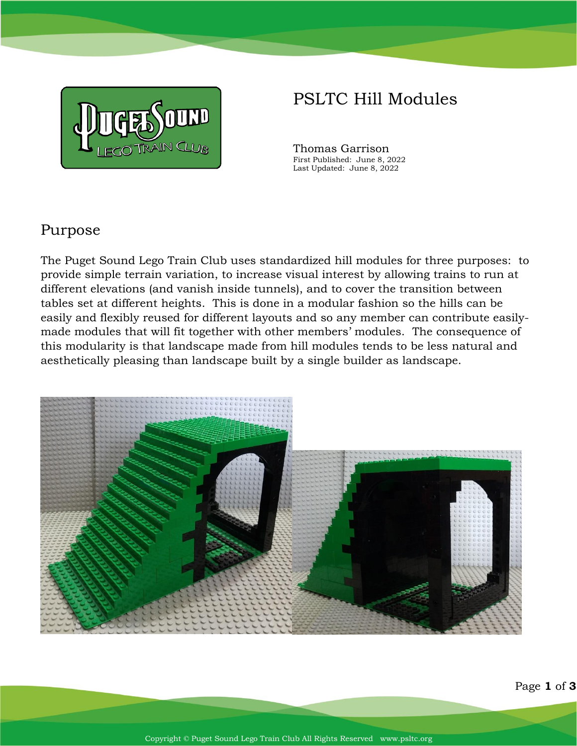

# PSLTC Hill Modules

Thomas Garrison First Published: June 8, 2022 Last Updated: June 8, 2022

## Purpose

The Puget Sound Lego Train Club uses standardized hill modules for three purposes: to provide simple terrain variation, to increase visual interest by allowing trains to run at different elevations (and vanish inside tunnels), and to cover the transition between tables set at different heights. This is done in a modular fashion so the hills can be easily and flexibly reused for different layouts and so any member can contribute easilymade modules that will fit together with other members' modules. The consequence of this modularity is that landscape made from hill modules tends to be less natural and aesthetically pleasing than landscape built by a single builder as landscape.

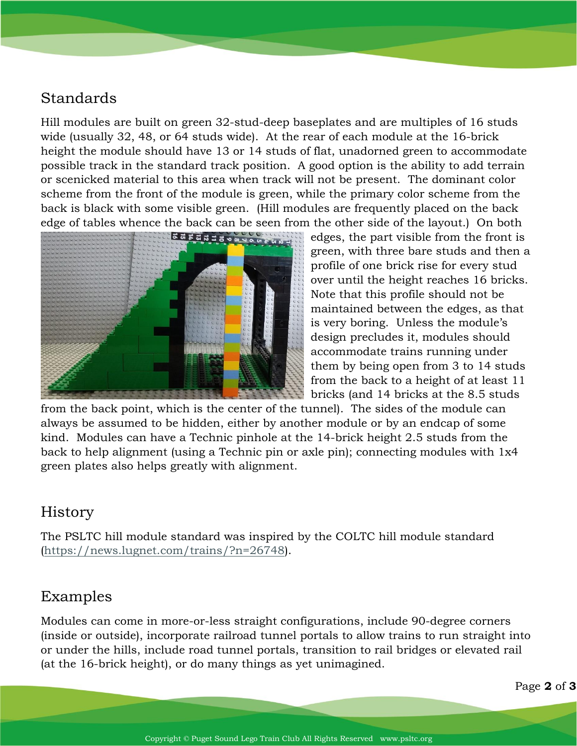## Standards

Hill modules are built on green 32-stud-deep baseplates and are multiples of 16 studs wide (usually 32, 48, or 64 studs wide). At the rear of each module at the 16-brick height the module should have 13 or 14 studs of flat, unadorned green to accommodate possible track in the standard track position. A good option is the ability to add terrain or scenicked material to this area when track will not be present. The dominant color scheme from the front of the module is green, while the primary color scheme from the back is black with some visible green. (Hill modules are frequently placed on the back edge of tables whence the back can be seen from the other side of the layout.) On both



edges, the part visible from the front is green, with three bare studs and then a profile of one brick rise for every stud over until the height reaches 16 bricks. Note that this profile should not be maintained between the edges, as that is very boring. Unless the module's design precludes it, modules should accommodate trains running under them by being open from 3 to 14 studs from the back to a height of at least 11 bricks (and 14 bricks at the 8.5 studs

from the back point, which is the center of the tunnel). The sides of the module can always be assumed to be hidden, either by another module or by an endcap of some kind. Modules can have a Technic pinhole at the 14-brick height 2.5 studs from the back to help alignment (using a Technic pin or axle pin); connecting modules with 1x4 green plates also helps greatly with alignment.

#### **History**

The PSLTC hill module standard was inspired by the COLTC hill module standard [\(https://news.lugnet.com/trains/?n=26748\)](https://news.lugnet.com/trains/?n=26748).

#### Examples

Modules can come in more-or-less straight configurations, include 90-degree corners (inside or outside), incorporate railroad tunnel portals to allow trains to run straight into or under the hills, include road tunnel portals, transition to rail bridges or elevated rail (at the 16-brick height), or do many things as yet unimagined.